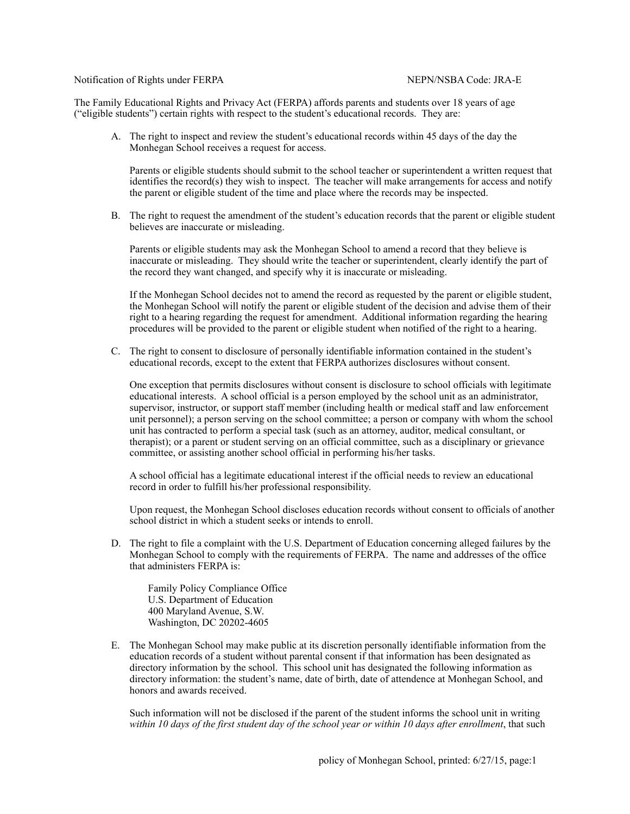Notification of Rights under FERPA NEPN/NSBA Code: JRA-E

The Family Educational Rights and Privacy Act (FERPA) affords parents and students over 18 years of age ("eligible students") certain rights with respect to the student's educational records. They are:

A. The right to inspect and review the student's educational records within 45 days of the day the Monhegan School receives a request for access.

Parents or eligible students should submit to the school teacher or superintendent a written request that identifies the record(s) they wish to inspect. The teacher will make arrangements for access and notify the parent or eligible student of the time and place where the records may be inspected.

B. The right to request the amendment of the student's education records that the parent or eligible student believes are inaccurate or misleading.

Parents or eligible students may ask the Monhegan School to amend a record that they believe is inaccurate or misleading. They should write the teacher or superintendent, clearly identify the part of the record they want changed, and specify why it is inaccurate or misleading.

If the Monhegan School decides not to amend the record as requested by the parent or eligible student, the Monhegan School will notify the parent or eligible student of the decision and advise them of their right to a hearing regarding the request for amendment. Additional information regarding the hearing procedures will be provided to the parent or eligible student when notified of the right to a hearing.

C. The right to consent to disclosure of personally identifiable information contained in the student's educational records, except to the extent that FERPA authorizes disclosures without consent.

One exception that permits disclosures without consent is disclosure to school officials with legitimate educational interests. A school official is a person employed by the school unit as an administrator, supervisor, instructor, or support staff member (including health or medical staff and law enforcement unit personnel); a person serving on the school committee; a person or company with whom the school unit has contracted to perform a special task (such as an attorney, auditor, medical consultant, or therapist); or a parent or student serving on an official committee, such as a disciplinary or grievance committee, or assisting another school official in performing his/her tasks.

A school official has a legitimate educational interest if the official needs to review an educational record in order to fulfill his/her professional responsibility.

Upon request, the Monhegan School discloses education records without consent to officials of another school district in which a student seeks or intends to enroll.

D. The right to file a complaint with the U.S. Department of Education concerning alleged failures by the Monhegan School to comply with the requirements of FERPA. The name and addresses of the office that administers FERPA is:

Family Policy Compliance Office U.S. Department of Education 400 Maryland Avenue, S.W. Washington, DC 20202-4605

E. The Monhegan School may make public at its discretion personally identifiable information from the education records of a student without parental consent if that information has been designated as directory information by the school. This school unit has designated the following information as directory information: the student's name, date of birth, date of attendence at Monhegan School, and honors and awards received.

Such information will not be disclosed if the parent of the student informs the school unit in writing *within 10 days of the first student day of the school year or within 10 days after enrollment*, that such